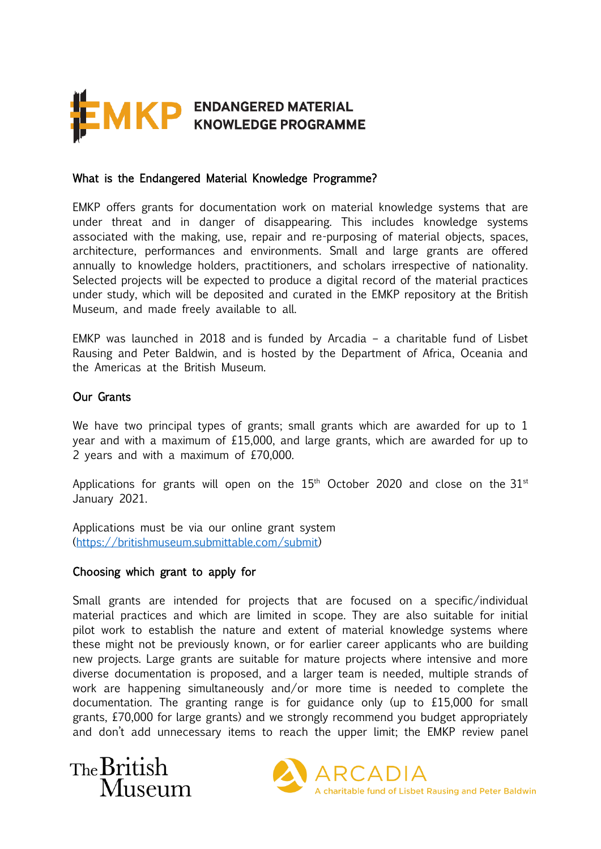

#### What is the Endangered Material Knowledge Programme?

EMKP offers grants for documentation work on material knowledge systems that are under threat and in danger of disappearing. This includes knowledge systems associated with the making, use, repair and re-purposing of material objects, spaces, architecture, performances and environments. Small and large grants are offered annually to knowledge holders, practitioners, and scholars irrespective of nationality. Selected projects will be expected to produce a digital record of the material practices under study, which will be deposited and curated in the EMKP repository at the British Museum, and made freely available to all.

EMKP was launched in 2018 and is funded by Arcadia – a charitable fund of Lisbet Rausing and Peter Baldwin, and is hosted by the Department of Africa, Oceania and the Americas at the British Museum.

#### Our Grants

We have two principal types of grants; small grants which are awarded for up to 1 year and with a maximum of £15,000, and large grants, which are awarded for up to 2 years and with a maximum of £70,000.

Applications for grants will open on the  $15<sup>th</sup>$  October 2020 and close on the  $31<sup>st</sup>$ January 2021.

Applications must be via our online grant system [\(https://britishmuseum.submittable.com/submit\)](https://britishmuseum.submittable.com/submit)

#### Choosing which grant to apply for

Small grants are intended for projects that are focused on a specific/individual material practices and which are limited in scope. They are also suitable for initial pilot work to establish the nature and extent of material knowledge systems where these might not be previously known, or for earlier career applicants who are building new projects. Large grants are suitable for mature projects where intensive and more diverse documentation is proposed, and a larger team is needed, multiple strands of work are happening simultaneously and/or more time is needed to complete the documentation. The granting range is for guidance only (up to £15,000 for small grants, £70,000 for large grants) and we strongly recommend you budget appropriately and don't add unnecessary items to reach the upper limit; the EMKP review panel



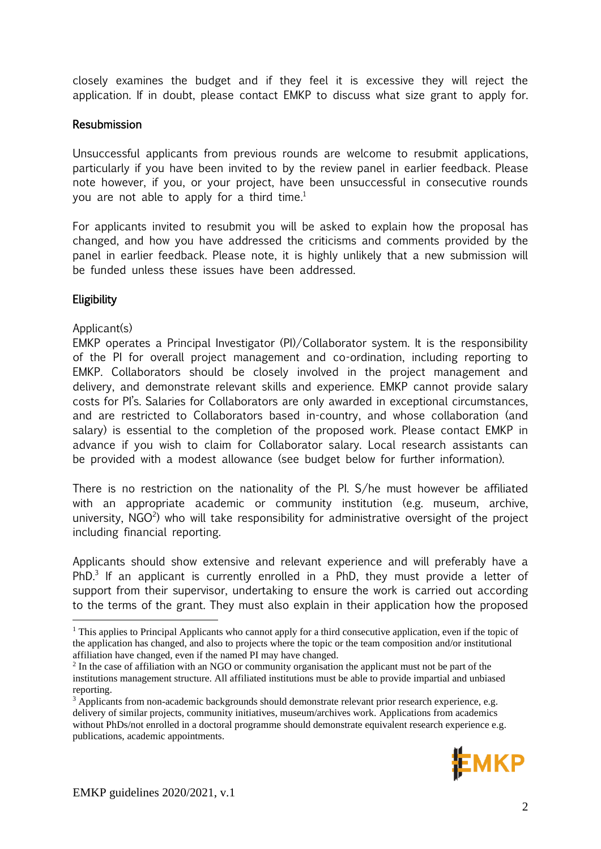closely examines the budget and if they feel it is excessive they will reject the application. If in doubt, please contact EMKP to discuss what size grant to apply for.

### Resubmission

Unsuccessful applicants from previous rounds are welcome to resubmit applications, particularly if you have been invited to by the review panel in earlier feedback. Please note however, if you, or your project, have been unsuccessful in consecutive rounds you are not able to apply for a third time.<sup>1</sup>

For applicants invited to resubmit you will be asked to explain how the proposal has changed, and how you have addressed the criticisms and comments provided by the panel in earlier feedback. Please note, it is highly unlikely that a new submission will be funded unless these issues have been addressed.

# **Eligibility**

#### Applicant(s)

EMKP operates a Principal Investigator (PI)/Collaborator system. It is the responsibility of the PI for overall project management and co-ordination, including reporting to EMKP. Collaborators should be closely involved in the project management and delivery, and demonstrate relevant skills and experience. EMKP cannot provide salary costs for PI's. Salaries for Collaborators are only awarded in exceptional circumstances, and are restricted to Collaborators based in-country, and whose collaboration (and salary) is essential to the completion of the proposed work. Please contact EMKP in advance if you wish to claim for Collaborator salary. Local research assistants can be provided with a modest allowance (see budget below for further information).

There is no restriction on the nationality of the PI. S/he must however be affiliated with an appropriate academic or community institution (e.g. museum, archive, university, NGO<sup>2</sup>) who will take responsibility for administrative oversight of the project including financial reporting.

Applicants should show extensive and relevant experience and will preferably have a PhD.<sup>3</sup> If an applicant is currently enrolled in a PhD, they must provide a letter of support from their supervisor, undertaking to ensure the work is carried out according to the terms of the grant. They must also explain in their application how the proposed

<sup>&</sup>lt;sup>3</sup> Applicants from non-academic backgrounds should demonstrate relevant prior research experience, e.g. delivery of similar projects, community initiatives, museum/archives work. Applications from academics without PhDs/not enrolled in a doctoral programme should demonstrate equivalent research experience e.g. publications, academic appointments.



<sup>&</sup>lt;sup>1</sup> This applies to Principal Applicants who cannot apply for a third consecutive application, even if the topic of the application has changed, and also to projects where the topic or the team composition and/or institutional affiliation have changed, even if the named PI may have changed.

<sup>&</sup>lt;sup>2</sup> In the case of affiliation with an NGO or community organisation the applicant must not be part of the institutions management structure. All affiliated institutions must be able to provide impartial and unbiased reporting.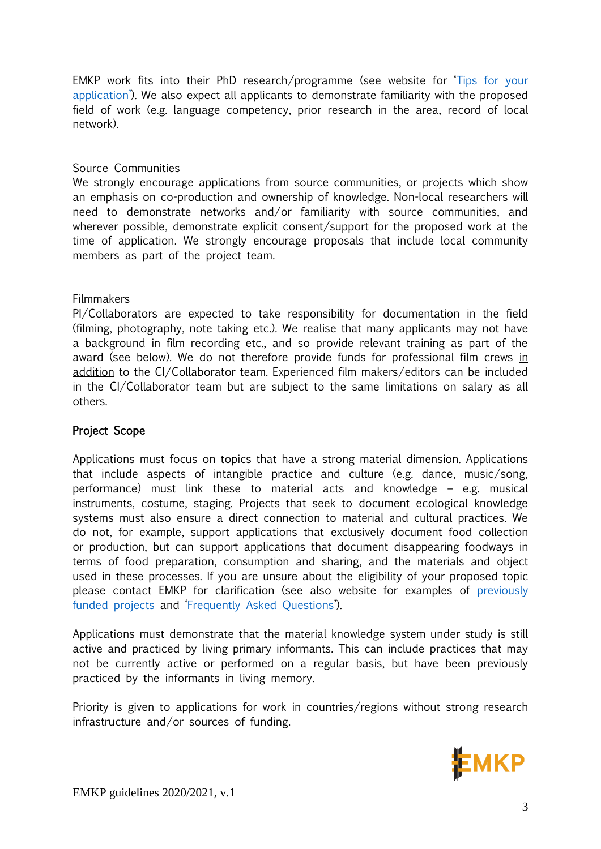EMKP work fits into their PhD research/programme (see website for '[Tips for your](https://www.emkp.org/grants/)  [application](https://www.emkp.org/grants/)'). We also expect all applicants to demonstrate familiarity with the proposed field of work (e.g. language competency, prior research in the area, record of local network).

### Source Communities

We strongly encourage applications from source communities, or projects which show an emphasis on co-production and ownership of knowledge. Non-local researchers will need to demonstrate networks and/or familiarity with source communities, and wherever possible, demonstrate explicit consent/support for the proposed work at the time of application. We strongly encourage proposals that include local community members as part of the project team.

#### **Filmmakers**

PI/Collaborators are expected to take responsibility for documentation in the field (filming, photography, note taking etc.). We realise that many applicants may not have a background in film recording etc., and so provide relevant training as part of the award (see below). We do not therefore provide funds for professional film crews in addition to the CI/Collaborator team. Experienced film makers/editors can be included in the CI/Collaborator team but are subject to the same limitations on salary as all others.

### Project Scope

Applications must focus on topics that have a strong material dimension. Applications that include aspects of intangible practice and culture (e.g. dance, music/song, performance) must link these to material acts and knowledge – e.g. musical instruments, costume, staging. Projects that seek to document ecological knowledge systems must also ensure a direct connection to material and cultural practices. We do not, for example, support applications that exclusively document food collection or production, but can support applications that document disappearing foodways in terms of food preparation, consumption and sharing, and the materials and object used in these processes. If you are unsure about the eligibility of your proposed topic please contact EMKP for clarification (see also website for examples of [previously](https://www.emkp.org/supported-projects/)  [funded projects](https://www.emkp.org/supported-projects/) and '[Frequently Asked Questions](https://www.emkp.org/faqs/)').

Applications must demonstrate that the material knowledge system under study is still active and practiced by living primary informants. This can include practices that may not be currently active or performed on a regular basis, but have been previously practiced by the informants in living memory.

Priority is given to applications for work in countries/regions without strong research infrastructure and/or sources of funding.



EMKP guidelines 2020/2021, v.1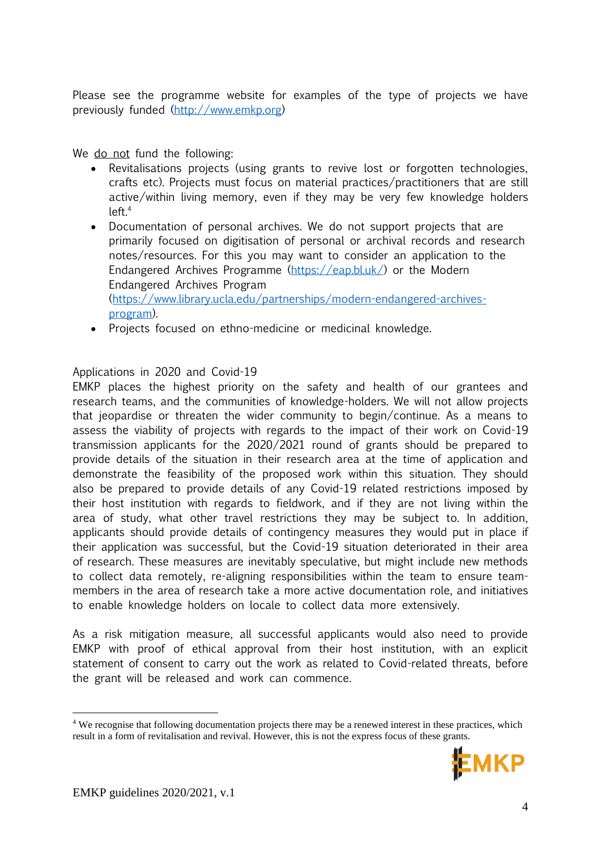Please see the programme website for examples of the type of projects we have previously funded [\(http://www.emkp.org\)](http://www.emkp.org/)

We do not fund the following:

- Revitalisations projects (using grants to revive lost or forgotten technologies, crafts etc). Projects must focus on material practices/practitioners that are still active/within living memory, even if they may be very few knowledge holders  $left<sup>4</sup>$
- Documentation of personal archives. We do not support projects that are primarily focused on digitisation of personal or archival records and research notes/resources. For this you may want to consider an application to the Endangered Archives Programme [\(https://eap.bl.uk/\)](https://eap.bl.uk/) or the Modern Endangered Archives Program [\(https://www.library.ucla.edu/partnerships/modern-endangered-archives](https://www.library.ucla.edu/partnerships/modern-endangered-archives-program)[program\)](https://www.library.ucla.edu/partnerships/modern-endangered-archives-program).
- Projects focused on ethno-medicine or medicinal knowledge.

# Applications in 2020 and Covid-19

EMKP places the highest priority on the safety and health of our grantees and research teams, and the communities of knowledge-holders. We will not allow projects that jeopardise or threaten the wider community to begin/continue. As a means to assess the viability of projects with regards to the impact of their work on Covid-19 transmission applicants for the 2020/2021 round of grants should be prepared to provide details of the situation in their research area at the time of application and demonstrate the feasibility of the proposed work within this situation. They should also be prepared to provide details of any Covid-19 related restrictions imposed by their host institution with regards to fieldwork, and if they are not living within the area of study, what other travel restrictions they may be subject to. In addition, applicants should provide details of contingency measures they would put in place if their application was successful, but the Covid-19 situation deteriorated in their area of research. These measures are inevitably speculative, but might include new methods to collect data remotely, re-aligning responsibilities within the team to ensure teammembers in the area of research take a more active documentation role, and initiatives to enable knowledge holders on locale to collect data more extensively.

As a risk mitigation measure, all successful applicants would also need to provide EMKP with proof of ethical approval from their host institution, with an explicit statement of consent to carry out the work as related to Covid-related threats, before the grant will be released and work can commence.

<sup>4</sup> We recognise that following documentation projects there may be a renewed interest in these practices, which result in a form of revitalisation and revival. However, this is not the express focus of these grants.

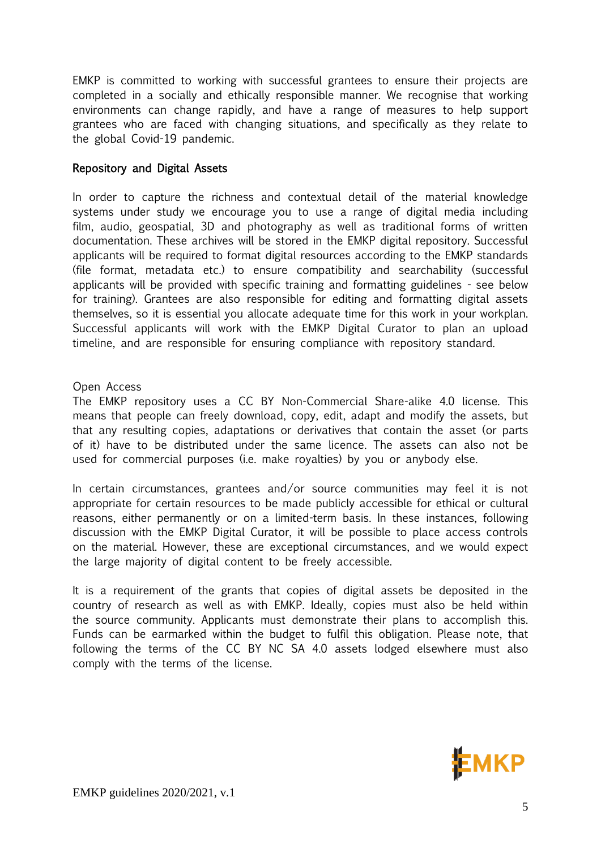EMKP is committed to working with successful grantees to ensure their projects are completed in a socially and ethically responsible manner. We recognise that working environments can change rapidly, and have a range of measures to help support grantees who are faced with changing situations, and specifically as they relate to the global Covid-19 pandemic.

### Repository and Digital Assets

In order to capture the richness and contextual detail of the material knowledge systems under study we encourage you to use a range of digital media including film, audio, geospatial, 3D and photography as well as traditional forms of written documentation. These archives will be stored in the EMKP digital repository. Successful applicants will be required to format digital resources according to the EMKP standards (file format, metadata etc.) to ensure compatibility and searchability (successful applicants will be provided with specific training and formatting guidelines - see below for training). Grantees are also responsible for editing and formatting digital assets themselves, so it is essential you allocate adequate time for this work in your workplan. Successful applicants will work with the EMKP Digital Curator to plan an upload timeline, and are responsible for ensuring compliance with repository standard.

#### Open Access

The EMKP repository uses a CC BY Non-Commercial Share-alike 4.0 license. This means that people can freely download, copy, edit, adapt and modify the assets, but that any resulting copies, adaptations or derivatives that contain the asset (or parts of it) have to be distributed under the same licence. The assets can also not be used for commercial purposes (i.e. make royalties) by you or anybody else.

In certain circumstances, grantees and/or source communities may feel it is not appropriate for certain resources to be made publicly accessible for ethical or cultural reasons, either permanently or on a limited-term basis. In these instances, following discussion with the EMKP Digital Curator, it will be possible to place access controls on the material. However, these are exceptional circumstances, and we would expect the large majority of digital content to be freely accessible.

It is a requirement of the grants that copies of digital assets be deposited in the country of research as well as with EMKP. Ideally, copies must also be held within the source community. Applicants must demonstrate their plans to accomplish this. Funds can be earmarked within the budget to fulfil this obligation. Please note, that following the terms of the CC BY NC SA 4.0 assets lodged elsewhere must also comply with the terms of the license.

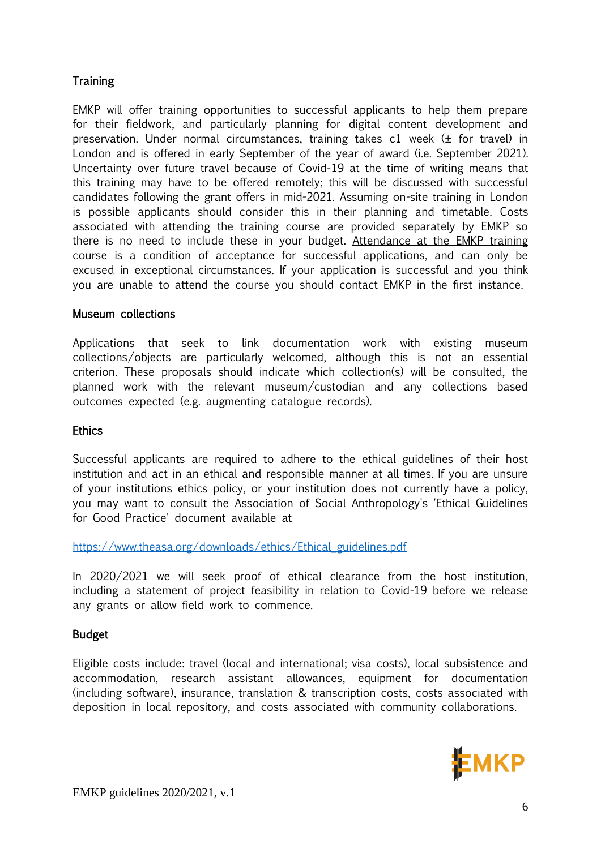# **Training**

EMKP will offer training opportunities to successful applicants to help them prepare for their fieldwork, and particularly planning for digital content development and preservation. Under normal circumstances, training takes c1 week (± for travel) in London and is offered in early September of the year of award (i.e. September 2021). Uncertainty over future travel because of Covid-19 at the time of writing means that this training may have to be offered remotely; this will be discussed with successful candidates following the grant offers in mid-2021. Assuming on-site training in London is possible applicants should consider this in their planning and timetable. Costs associated with attending the training course are provided separately by EMKP so there is no need to include these in your budget. Attendance at the EMKP training course is a condition of acceptance for successful applications, and can only be excused in exceptional circumstances. If your application is successful and you think you are unable to attend the course you should contact EMKP in the first instance.

### Museum collections

Applications that seek to link documentation work with existing museum collections/objects are particularly welcomed, although this is not an essential criterion. These proposals should indicate which collection(s) will be consulted, the planned work with the relevant museum/custodian and any collections based outcomes expected (e.g. augmenting catalogue records).

### **Ethics**

Successful applicants are required to adhere to the ethical guidelines of their host institution and act in an ethical and responsible manner at all times. If you are unsure of your institutions ethics policy, or your institution does not currently have a policy, you may want to consult the Association of Social Anthropology's 'Ethical Guidelines for Good Practice' document available at

[https://www.theasa.org/downloads/ethics/Ethical\\_guidelines.pdf](https://www.theasa.org/downloads/ethics/Ethical_guidelines.pdf)

In 2020/2021 we will seek proof of ethical clearance from the host institution, including a statement of project feasibility in relation to Covid-19 before we release any grants or allow field work to commence.

### Budget

Eligible costs include: travel (local and international; visa costs), local subsistence and accommodation, research assistant allowances, equipment for documentation (including software), insurance, translation & transcription costs, costs associated with deposition in local repository, and costs associated with community collaborations.

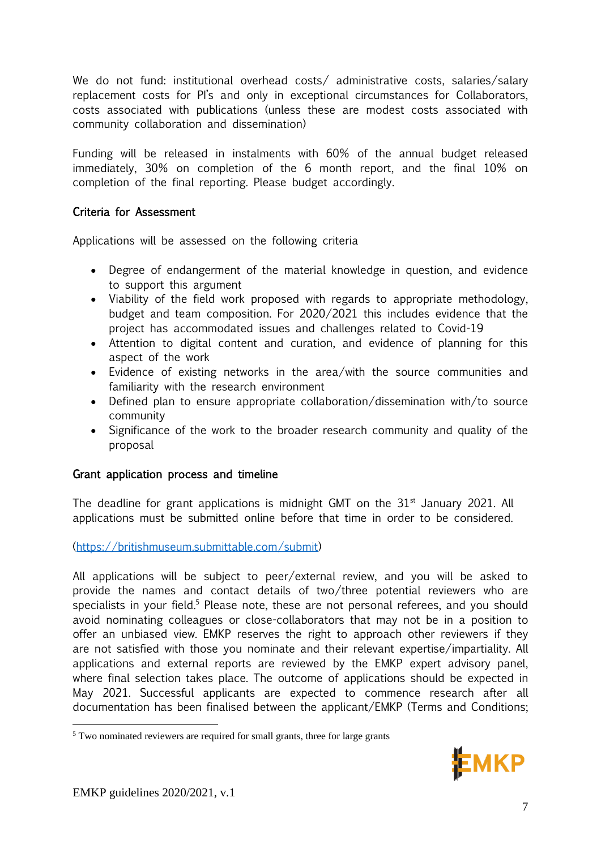We do not fund: institutional overhead costs/ administrative costs, salaries/salary replacement costs for PI's and only in exceptional circumstances for Collaborators, costs associated with publications (unless these are modest costs associated with community collaboration and dissemination)

Funding will be released in instalments with 60% of the annual budget released immediately, 30% on completion of the 6 month report, and the final 10% on completion of the final reporting. Please budget accordingly.

# Criteria for Assessment

Applications will be assessed on the following criteria

- Degree of endangerment of the material knowledge in question, and evidence to support this argument
- Viability of the field work proposed with regards to appropriate methodology, budget and team composition. For 2020/2021 this includes evidence that the project has accommodated issues and challenges related to Covid-19
- Attention to digital content and curation, and evidence of planning for this aspect of the work
- Evidence of existing networks in the area/with the source communities and familiarity with the research environment
- Defined plan to ensure appropriate collaboration/dissemination with/to source community
- Significance of the work to the broader research community and quality of the proposal

# Grant application process and timeline

The deadline for grant applications is midnight GMT on the  $31<sup>st</sup>$  January 2021. All applications must be submitted online before that time in order to be considered.

# [\(https://britishmuseum.submittable.com/submit\)](https://britishmuseum.submittable.com/submit)

All applications will be subject to peer/external review, and you will be asked to provide the names and contact details of two/three potential reviewers who are specialists in your field.<sup>5</sup> Please note, these are not personal referees, and you should avoid nominating colleagues or close-collaborators that may not be in a position to offer an unbiased view. EMKP reserves the right to approach other reviewers if they are not satisfied with those you nominate and their relevant expertise/impartiality. All applications and external reports are reviewed by the EMKP expert advisory panel, where final selection takes place. The outcome of applications should be expected in May 2021. Successful applicants are expected to commence research after all documentation has been finalised between the applicant/EMKP (Terms and Conditions;



<sup>&</sup>lt;sup>5</sup> Two nominated reviewers are required for small grants, three for large grants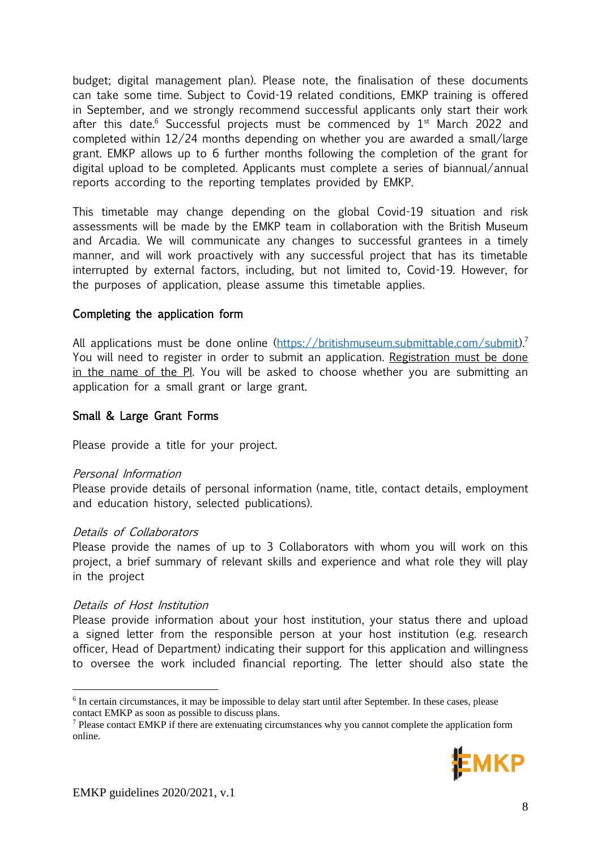budget; digital management plan). Please note, the finalisation of these documents can take some time. Subject to Covid-19 related conditions, EMKP training is offered in September, and we strongly recommend successful applicants only start their work after this date.<sup>6</sup> Successful projects must be commenced by  $1<sup>st</sup>$  March 2022 and completed within 12/24 months depending on whether you are awarded a small/large grant. EMKP allows up to 6 further months following the completion of the grant for digital upload to be completed. Applicants must complete a series of biannual/annual reports according to the reporting templates provided by EMKP.

This timetable may change depending on the global Covid-19 situation and risk assessments will be made by the EMKP team in collaboration with the British Museum and Arcadia. We will communicate any changes to successful grantees in a timely manner, and will work proactively with any successful project that has its timetable interrupted by external factors, including, but not limited to, Covid-19. However, for the purposes of application, please assume this timetable applies.

### Completing the application form

All applications must be done online [\(https://britishmuseum.submittable.com/submit\)](https://britishmuseum.submittable.com/submit).<sup>7</sup> You will need to register in order to submit an application. Registration must be done in the name of the PI. You will be asked to choose whether you are submitting an application for a small grant or large grant.

#### Small & Large Grant Forms

Please provide a title for your project.

#### Personal Information

Please provide details of personal information (name, title, contact details, employment and education history, selected publications).

#### Details of Collaborators

Please provide the names of up to 3 Collaborators with whom you will work on this project, a brief summary of relevant skills and experience and what role they will play in the project

#### Details of Host Institution

Please provide information about your host institution, your status there and upload a signed letter from the responsible person at your host institution (e.g. research officer, Head of Department) indicating their support for this application and willingness to oversee the work included financial reporting. The letter should also state the

<sup>7</sup> Please contact EMKP if there are extenuating circumstances why you cannot complete the application form online.



<sup>&</sup>lt;sup>6</sup> In certain circumstances, it may be impossible to delay start until after September. In these cases, please contact EMKP as soon as possible to discuss plans.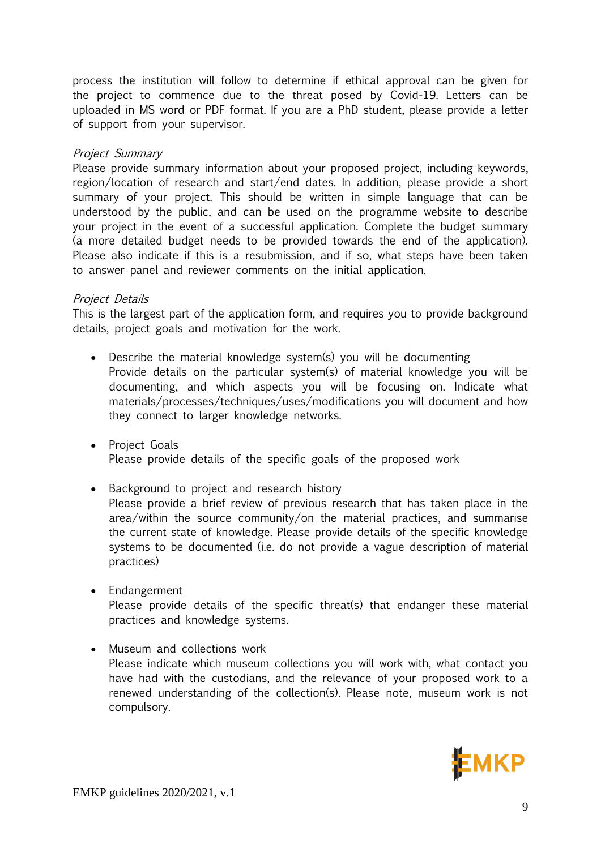process the institution will follow to determine if ethical approval can be given for the project to commence due to the threat posed by Covid-19. Letters can be uploaded in MS word or PDF format. If you are a PhD student, please provide a letter of support from your supervisor.

#### Project Summary

Please provide summary information about your proposed project, including keywords, region/location of research and start/end dates. In addition, please provide a short summary of your project. This should be written in simple language that can be understood by the public, and can be used on the programme website to describe your project in the event of a successful application. Complete the budget summary (a more detailed budget needs to be provided towards the end of the application). Please also indicate if this is a resubmission, and if so, what steps have been taken to answer panel and reviewer comments on the initial application.

#### Project Details

This is the largest part of the application form, and requires you to provide background details, project goals and motivation for the work.

- Describe the material knowledge system(s) you will be documenting Provide details on the particular system(s) of material knowledge you will be documenting, and which aspects you will be focusing on. Indicate what materials/processes/techniques/uses/modifications you will document and how they connect to larger knowledge networks.
- Project Goals Please provide details of the specific goals of the proposed work
- Background to project and research history Please provide a brief review of previous research that has taken place in the area/within the source community/on the material practices, and summarise the current state of knowledge. Please provide details of the specific knowledge systems to be documented (i.e. do not provide a vague description of material practices)
- Endangerment Please provide details of the specific threat(s) that endanger these material practices and knowledge systems.
- Museum and collections work Please indicate which museum collections you will work with, what contact you have had with the custodians, and the relevance of your proposed work to a renewed understanding of the collection(s). Please note, museum work is not compulsory.

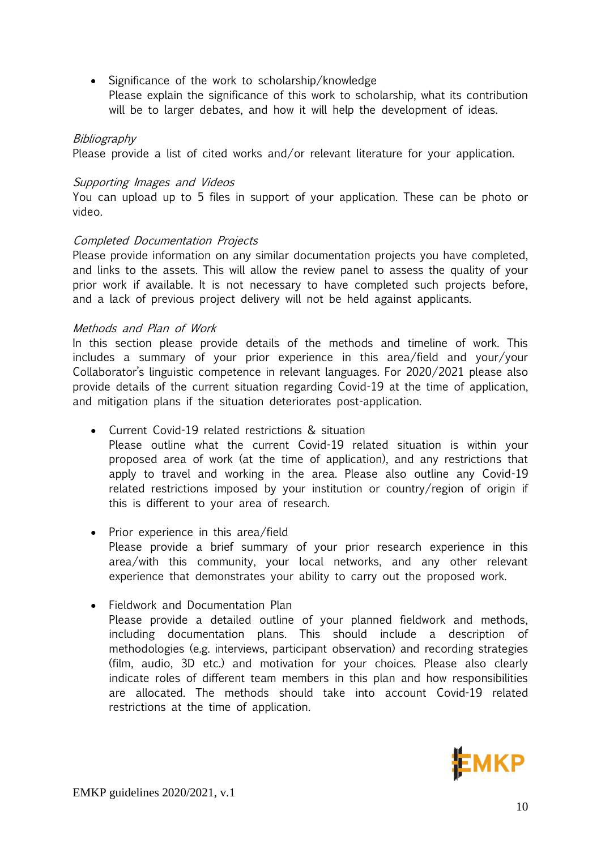• Significance of the work to scholarship/knowledge Please explain the significance of this work to scholarship, what its contribution will be to larger debates, and how it will help the development of ideas.

#### Bibliography

Please provide a list of cited works and/or relevant literature for your application.

#### Supporting Images and Videos

You can upload up to 5 files in support of your application. These can be photo or video.

#### Completed Documentation Projects

Please provide information on any similar documentation projects you have completed, and links to the assets. This will allow the review panel to assess the quality of your prior work if available. It is not necessary to have completed such projects before, and a lack of previous project delivery will not be held against applicants.

#### Methods and Plan of Work

In this section please provide details of the methods and timeline of work. This includes a summary of your prior experience in this area/field and your/your Collaborator's linguistic competence in relevant languages. For 2020/2021 please also provide details of the current situation regarding Covid-19 at the time of application, and mitigation plans if the situation deteriorates post-application.

- Current Covid-19 related restrictions & situation Please outline what the current Covid-19 related situation is within your proposed area of work (at the time of application), and any restrictions that apply to travel and working in the area. Please also outline any Covid-19 related restrictions imposed by your institution or country/region of origin if this is different to your area of research.
- Prior experience in this area/field Please provide a brief summary of your prior research experience in this area/with this community, your local networks, and any other relevant experience that demonstrates your ability to carry out the proposed work.
- Fieldwork and Documentation Plan Please provide a detailed outline of your planned fieldwork and methods, including documentation plans. This should include a description of methodologies (e.g. interviews, participant observation) and recording strategies (film, audio, 3D etc.) and motivation for your choices. Please also clearly indicate roles of different team members in this plan and how responsibilities are allocated. The methods should take into account Covid-19 related restrictions at the time of application.

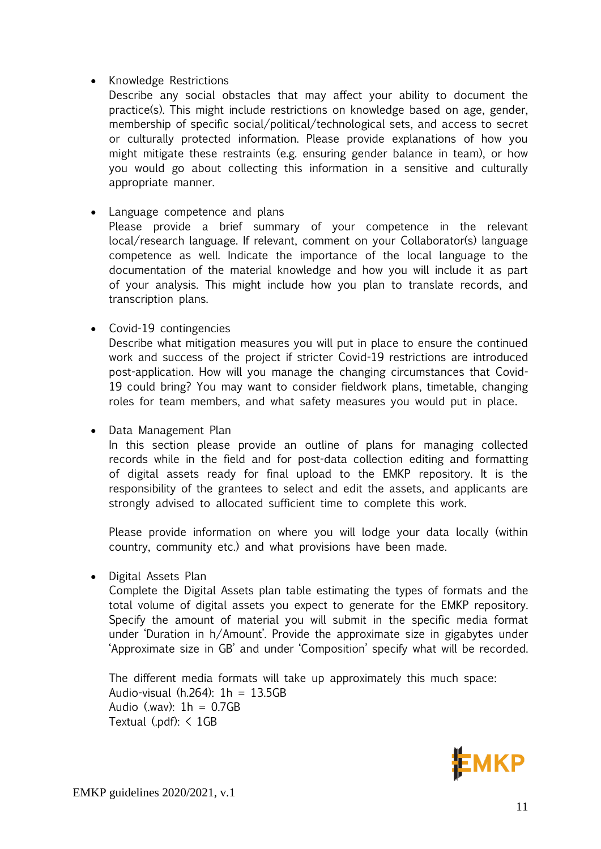# • Knowledge Restrictions

Describe any social obstacles that may affect your ability to document the practice(s). This might include restrictions on knowledge based on age, gender, membership of specific social/political/technological sets, and access to secret or culturally protected information. Please provide explanations of how you might mitigate these restraints (e.g. ensuring gender balance in team), or how you would go about collecting this information in a sensitive and culturally appropriate manner.

## • Language competence and plans

Please provide a brief summary of your competence in the relevant local/research language. If relevant, comment on your Collaborator(s) language competence as well. Indicate the importance of the local language to the documentation of the material knowledge and how you will include it as part of your analysis. This might include how you plan to translate records, and transcription plans.

# • Covid-19 contingencies

Describe what mitigation measures you will put in place to ensure the continued work and success of the project if stricter Covid-19 restrictions are introduced post-application. How will you manage the changing circumstances that Covid-19 could bring? You may want to consider fieldwork plans, timetable, changing roles for team members, and what safety measures you would put in place.

### • Data Management Plan

In this section please provide an outline of plans for managing collected records while in the field and for post-data collection editing and formatting of digital assets ready for final upload to the EMKP repository. It is the responsibility of the grantees to select and edit the assets, and applicants are strongly advised to allocated sufficient time to complete this work.

Please provide information on where you will lodge your data locally (within country, community etc.) and what provisions have been made.

• Digital Assets Plan

Complete the Digital Assets plan table estimating the types of formats and the total volume of digital assets you expect to generate for the EMKP repository. Specify the amount of material you will submit in the specific media format under 'Duration in h/Amount'. Provide the approximate size in gigabytes under 'Approximate size in GB' and under 'Composition' specify what will be recorded.

The different media formats will take up approximately this much space: Audio-visual (h.264): 1h = 13.5GB Audio (.wav):  $1h = 0.7GB$ Textual (.pdf):  $\leq$  1GB

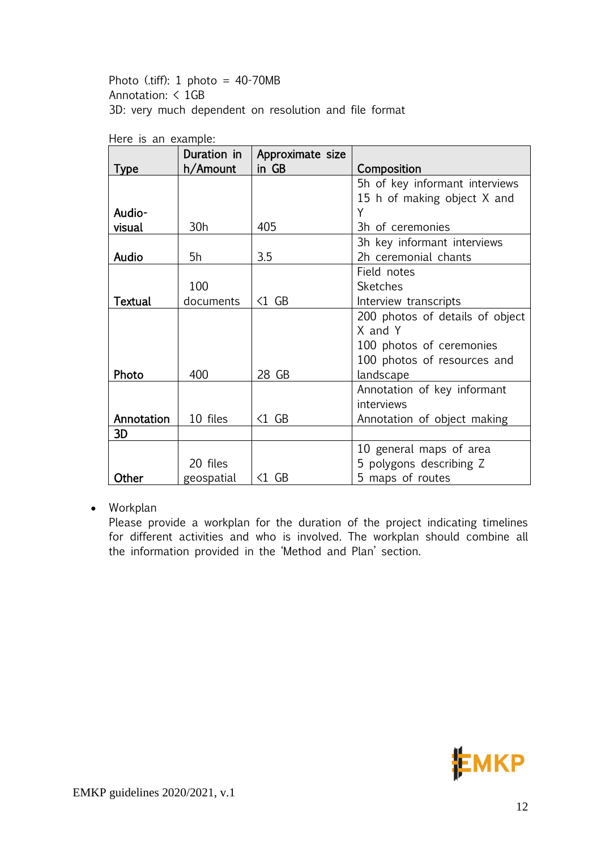Photo (.tiff):  $1$  photo =  $40-70MB$ Annotation: < 1GB 3D: very much dependent on resolution and file format

|                | Duration in     | Approximate size       |                                 |  |  |  |  |
|----------------|-----------------|------------------------|---------------------------------|--|--|--|--|
| <b>Type</b>    | h/Amount        | in GB                  | Composition                     |  |  |  |  |
|                |                 |                        | 5h of key informant interviews  |  |  |  |  |
|                |                 |                        | 15 h of making object X and     |  |  |  |  |
| Audio-         |                 |                        | Y                               |  |  |  |  |
| visual         | 30 <sub>h</sub> | 405                    | 3h of ceremonies                |  |  |  |  |
|                |                 |                        | 3h key informant interviews     |  |  |  |  |
| Audio          | 5h              | 3.5                    | 2h ceremonial chants            |  |  |  |  |
|                |                 |                        | Field notes                     |  |  |  |  |
|                | 100             |                        | <b>Sketches</b>                 |  |  |  |  |
| <b>Textual</b> | documents       | $\triangleleft 1$ GB   | Interview transcripts           |  |  |  |  |
|                |                 |                        | 200 photos of details of object |  |  |  |  |
|                |                 |                        | X and Y                         |  |  |  |  |
|                |                 |                        | 100 photos of ceremonies        |  |  |  |  |
|                |                 |                        | 100 photos of resources and     |  |  |  |  |
| Photo          | 400             | 28 GB                  | landscape                       |  |  |  |  |
|                |                 |                        | Annotation of key informant     |  |  |  |  |
|                |                 |                        | interviews                      |  |  |  |  |
| Annotation     | 10 files        | $\triangleleft 1$ GB   | Annotation of object making     |  |  |  |  |
| 3D             |                 |                        |                                 |  |  |  |  |
|                |                 |                        | 10 general maps of area         |  |  |  |  |
|                | 20 files        |                        | 5 polygons describing Z         |  |  |  |  |
| Other          | geospatial      | $\langle 1 \rangle$ GB | 5 maps of routes                |  |  |  |  |

Here is an example:

• Workplan

Please provide a workplan for the duration of the project indicating timelines for different activities and who is involved. The workplan should combine all the information provided in the 'Method and Plan' section.

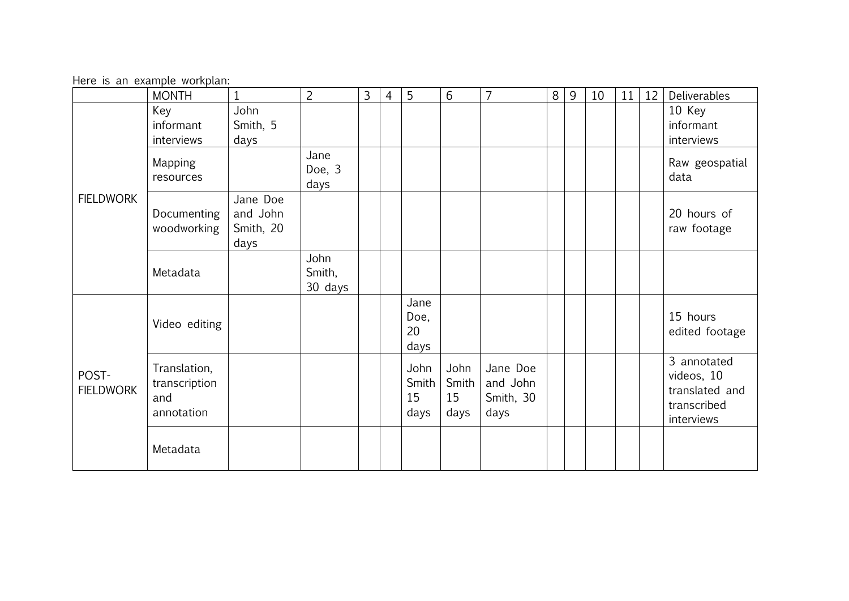Here is an example workplan:

|                           | <b>MONTH</b>                                       | $\mathbf{1}$                              | $\overline{2}$            | 3 | $\overline{4}$ | 5                           | 6                           | $\overline{7}$                            | 8 | 9 | 10 | 11 | 12 | Deliverables                                                             |
|---------------------------|----------------------------------------------------|-------------------------------------------|---------------------------|---|----------------|-----------------------------|-----------------------------|-------------------------------------------|---|---|----|----|----|--------------------------------------------------------------------------|
| <b>FIELDWORK</b>          | Key<br>informant<br>interviews                     | John<br>Smith, 5<br>days                  |                           |   |                |                             |                             |                                           |   |   |    |    |    | 10 Key<br>informant<br>interviews                                        |
|                           | Mapping<br>resources                               |                                           | Jane<br>Doe, 3<br>days    |   |                |                             |                             |                                           |   |   |    |    |    | Raw geospatial<br>data                                                   |
|                           | Documenting<br>woodworking                         | Jane Doe<br>and John<br>Smith, 20<br>days |                           |   |                |                             |                             |                                           |   |   |    |    |    | 20 hours of<br>raw footage                                               |
|                           | Metadata                                           |                                           | John<br>Smith,<br>30 days |   |                |                             |                             |                                           |   |   |    |    |    |                                                                          |
| POST-<br><b>FIELDWORK</b> | Video editing                                      |                                           |                           |   |                | Jane<br>Doe,<br>20<br>days  |                             |                                           |   |   |    |    |    | 15 hours<br>edited footage                                               |
|                           | Translation,<br>transcription<br>and<br>annotation |                                           |                           |   |                | John<br>Smith<br>15<br>days | John<br>Smith<br>15<br>days | Jane Doe<br>and John<br>Smith, 30<br>days |   |   |    |    |    | 3 annotated<br>videos, 10<br>translated and<br>transcribed<br>interviews |
|                           | Metadata                                           |                                           |                           |   |                |                             |                             |                                           |   |   |    |    |    |                                                                          |